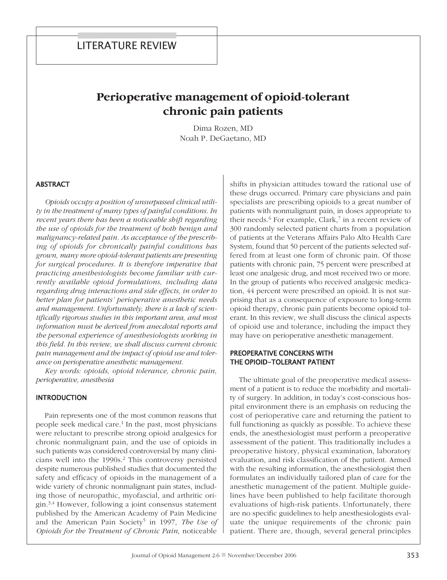# **Perioperative management of opioid-tolerant chronic pain patients**

Dima Rozen, MD Noah P. DeGaetano, MD

## **ABSTRACT**

*Opioids occupy a position of unsurpassed clinical utility in the treatment of many types of painful conditions. In recent years there has been a noticeable shift regarding the use of opioids for the treatment of both benign and malignancy-related pain. As acceptance of the prescribing of opioids for chronically painful conditions has grown, many more opioid-tolerant patients are presenting for surgical procedures. It is therefore imperative that practicing anesthesiologists become familiar with currently available opioid formulations, including data regarding drug interactions and side effects, in order to better plan for patients' perioperative anesthetic needs and management. Unfortunately, there is a lack of scientifically rigorous studies in this important area, and most information must be derived from anecdotal reports and the personal experience of anesthesiologists working in this field. In this review, we shall discuss current chronic pain management and the impact of opioid use and tolerance on perioperative anesthetic management.*

*Key words: opioids, opioid tolerance, chronic pain, perioperative, anesthesia*

## **INTRODUCTION**

Pain represents one of the most common reasons that people seek medical care. <sup>1</sup> In the past, most physicians were reluctant to prescribe strong opioid analgesics for chronic nonmalignant pain, and the use of opioids in such patients was considered controversial by many clinicians well into the 1990s. <sup>2</sup> This controversy persisted despite numerous published studies that documented the safety and efficacy of opioids in the management of a wide variety of chronic nonmalignant pain states, including those of neuropathic, myofascial, and arthritic origin. 3,4 However, following a joint consensus statement published by the American Academy of Pain Medicine and the American Pain Society5 in 1997, *The Use of Opioids for the Treatment of Chronic Pain*, noticeable

shifts in physician attitudes toward the rational use of these drugs occurred. Primary care physicians and pain specialists are prescribing opioids to a great number of patients with nonmalignant pain, in doses appropriate to their needs. <sup>6</sup> For example, Clark, <sup>7</sup> in a recent review of 300 randomly selected patient charts from a population of patients at the Veterans Affairs Palo Alto Health Care System, found that 50 percent of the patients selected suffered from at least one form of chronic pain. Of those patients with chronic pain, 75 percent were prescribed at least one analgesic drug, and most received two or more. In the group of patients who received analgesic medication, 44 percent were prescribed an opioid. It is not surprising that as a consequence of exposure to long-term opioid therapy, chronic pain patients become opioid tolerant. In this review, we shall discuss the clinical aspects of opioid use and tolerance, including the impact they may have on perioperative anesthetic management.

# PreoPerative concerns with the oPioid-tolerant Patient

The ultimate goal of the preoperative medical assessment of a patient is to reduce the morbidity and mortality of surgery. In addition, in today's cost-conscious hospital environment there is an emphasis on reducing the cost of perioperative care and returning the patient to full functioning as quickly as possible. To achieve these ends, the anesthesiologist must perform a preoperative assessment of the patient. This traditionally includes a preoperative history, physical examination, laboratory evaluation, and risk classification of the patient. Armed with the resulting information, the anesthesiologist then formulates an individually tailored plan of care for the anesthetic management of the patient. Multiple guidelines have been published to help facilitate thorough evaluations of high-risk patients. Unfortunately, there are no specific guidelines to help anesthesiologists evaluate the unique requirements of the chronic pain patient. There are, though, several general principles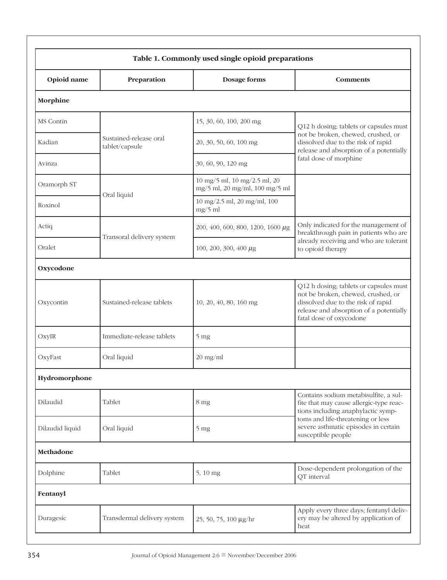| Table 1. Commonly used single opioid preparations |                                          |                                                                |                                                                                                                                                                                                                           |  |
|---------------------------------------------------|------------------------------------------|----------------------------------------------------------------|---------------------------------------------------------------------------------------------------------------------------------------------------------------------------------------------------------------------------|--|
| Opioid name                                       | Preparation                              | Dosage forms                                                   | <b>Comments</b>                                                                                                                                                                                                           |  |
| Morphine                                          |                                          |                                                                |                                                                                                                                                                                                                           |  |
| MS Contin                                         |                                          | 15, 30, 60, 100, 200 mg                                        | Q12 h dosing; tablets or capsules must                                                                                                                                                                                    |  |
| Kadian                                            | Sustained-release oral<br>tablet/capsule | 20, 30, 50, 60, 100 mg                                         | not be broken, chewed, crushed, or<br>dissolved due to the risk of rapid<br>release and absorption of a potentially<br>fatal dose of morphine                                                                             |  |
| Avinza                                            |                                          | 30, 60, 90, 120 mg                                             |                                                                                                                                                                                                                           |  |
| Oramorph ST                                       | Oral liquid                              | 10 mg/5 ml, 10 mg/2.5 ml, 20<br>mg/5 ml, 20 mg/ml, 100 mg/5 ml |                                                                                                                                                                                                                           |  |
| Roxinol                                           |                                          | 10 mg/2.5 ml, 20 mg/ml, 100<br>$mg/5$ ml                       |                                                                                                                                                                                                                           |  |
| Actiq                                             | Transoral delivery system                | 200, 400, 600, 800, 1200, 1600 $\mu$ g                         | Only indicated for the management of<br>breakthrough pain in patients who are<br>already receiving and who are tolerant<br>to opioid therapy                                                                              |  |
| Oralet                                            |                                          | 100, 200, 300, 400 $\mu$ g                                     |                                                                                                                                                                                                                           |  |
| Oxycodone                                         |                                          |                                                                |                                                                                                                                                                                                                           |  |
| Oxycontin                                         | Sustained-release tablets                | 10, 20, 40, 80, 160 mg                                         | Q12 h dosing; tablets or capsules must<br>not be broken, chewed, crushed, or<br>dissolved due to the risk of rapid<br>release and absorption of a potentially<br>fatal dose of oxycodone                                  |  |
| OxyIR                                             | Immediate-release tablets                | 5 <sub>mg</sub>                                                |                                                                                                                                                                                                                           |  |
| OxyFast                                           | Oral liquid                              | $20$ mg/ml                                                     |                                                                                                                                                                                                                           |  |
| Hydromorphone                                     |                                          |                                                                |                                                                                                                                                                                                                           |  |
| Dilaudid                                          | Tablet                                   | 8 mg                                                           | Contains sodium metabisulfite, a sul-<br>fite that may cause allergic-type reac-<br>tions including anaphylactic symp-<br>toms and life-threatening or less<br>severe asthmatic episodes in certain<br>susceptible people |  |
| Dilaudid liquid                                   | Oral liquid                              | 5 <sub>mg</sub>                                                |                                                                                                                                                                                                                           |  |
| Methadone                                         |                                          |                                                                |                                                                                                                                                                                                                           |  |
| Dolphine                                          | Tablet                                   | 5, 10 mg                                                       | Dose-dependent prolongation of the<br>QT interval                                                                                                                                                                         |  |
| Fentanyl                                          |                                          |                                                                |                                                                                                                                                                                                                           |  |
| Duragesic                                         | Transdermal delivery system              | 25, 50, 75, 100 µg/hr                                          | Apply every three days; fentanyl deliv-<br>ery may be altered by application of<br>heat                                                                                                                                   |  |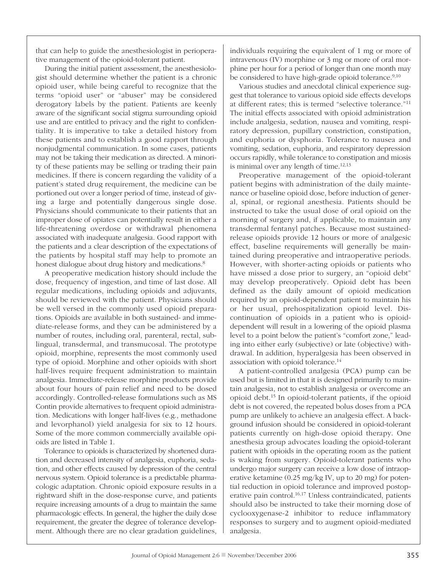that can help to guide the anesthesiologist in perioperative management of the opioid-tolerant patient.

During the initial patient assessment, the anesthesiologist should determine whether the patient is a chronic opioid user, while being careful to recognize that the terms "opioid user" or "abuser" may be considered derogatory labels by the patient. Patients are keenly aware of the significant social stigma surrounding opioid use and are entitled to privacy and the right to confidentiality. It is imperative to take a detailed history from these patients and to establish a good rapport through nonjudgmental communication. In some cases, patients may not be taking their medication as directed. A minority of these patients may be selling or trading their pain medicines. If there is concern regarding the validity of a patient's stated drug requirement, the medicine can be portioned out over a longer period of time, instead of giving a large and potentially dangerous single dose. Physicians should communicate to their patients that an improper dose of opiates can potentially result in either a life-threatening overdose or withdrawal phenomena associated with inadequate analgesia. Good rapport with the patients and a clear description of the expectations of the patients by hospital staff may help to promote an honest dialogue about drug history and medications. 8

A preoperative medication history should include the dose, frequency of ingestion, and time of last dose. All regular medications, including opioids and adjuvants, should be reviewed with the patient. Physicians should be well versed in the commonly used opioid preparations. Opioids are available in both sustained- and immediate-release forms, and they can be administered by a number of routes, including oral, parenteral, rectal, sublingual, transdermal, and transmucosal. The prototype opioid, morphine, represents the most commonly used type of opioid. Morphine and other opioids with short half-lives require frequent administration to maintain analgesia. Immediate-release morphine products provide about four hours of pain relief and need to be dosed accordingly. Controlled-release formulations such as MS Contin provide alternatives to frequent opioid administration. Medications with longer half-lives (e.g., methadone and levorphanol) yield analgesia for six to 12 hours. Some of the more common commercially available opioids are listed in Table 1.

Tolerance to opioids is characterized by shortened duration and decreased intensity of analgesia, euphoria, sedation, and other effects caused by depression of the central nervous system. Opioid tolerance is a predictable pharmacologic adaptation. Chronic opioid exposure results in a rightward shift in the dose-response curve, and patients require increasing amounts of a drug to maintain the same pharmacologic effects. In general, the higher the daily dose requirement, the greater the degree of tolerance development. Although there are no clear gradation guidelines,

individuals requiring the equivalent of 1 mg or more of intravenous (IV) morphine or 3 mg or more of oral morphine per hour for a period of longer than one month may be considered to have high-grade opioid tolerance. 9,10

Various studies and anecdotal clinical experience suggest that tolerance to various opioid side effects develops at different rates; this is termed "selective tolerance."11 The initial effects associated with opioid administration include analgesia, sedation, nausea and vomiting, respiratory depression, pupillary constriction, constipation, and euphoria or dysphoria. Tolerance to nausea and vomiting, sedation, euphoria, and respiratory depression occurs rapidly, while tolerance to constipation and miosis is minimal over any length of time. 12,13

Preoperative management of the opioid-tolerant patient begins with administration of the daily maintenance or baseline opioid dose, before induction of general, spinal, or regional anesthesia. Patients should be instructed to take the usual dose of oral opioid on the morning of surgery and, if applicable, to maintain any transdermal fentanyl patches. Because most sustainedrelease opioids provide 12 hours or more of analgesic effect, baseline requirements will generally be maintained during preoperative and intraoperative periods. However, with shorter-acting opioids or patients who have missed a dose prior to surgery, an "opioid debt" may develop preoperatively. Opioid debt has been defined as the daily amount of opioid medication required by an opioid-dependent patient to maintain his or her usual, prehospitalization opioid level. Discontinuation of opioids in a patient who is opioiddependent will result in a lowering of the opioid plasma level to a point below the patient's "comfort zone," leading into either early (subjective) or late (objective) withdrawal. In addition, hyperalgesia has been observed in association with opioid tolerance. 14

A patient-controlled analgesia (PCA) pump can be used but is limited in that it is designed primarily to maintain analgesia, not to establish analgesia or overcome an opioid debt. <sup>15</sup> In opioid-tolerant patients, if the opioid debt is not covered, the repeated bolus doses from a PCA pump are unlikely to achieve an analgesia effect. A background infusion should be considered in opioid-tolerant patients currently on high-dose opioid therapy. One anesthesia group advocates loading the opioid-tolerant patient with opioids in the operating room as the patient is waking from surgery. Opioid-tolerant patients who undergo major surgery can receive a low dose of intraoperative ketamine (0.25 mg/kg IV, up to 20 mg) for potential reduction in opioid tolerance and improved postoperative pain control. 16,17 Unless contraindicated, patients should also be instructed to take their morning dose of cyclooxygenase-2 inhibitor to reduce inflammatory responses to surgery and to augment opioid-mediated analgesia.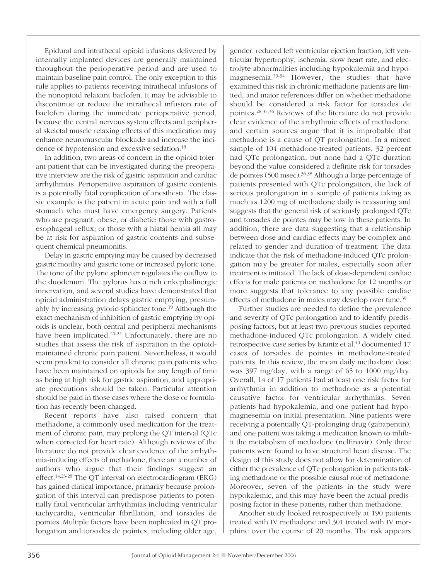Epidural and intrathecal opioid infusions delivered by internally implanted devices are generally maintained throughout the perioperative period and are used to maintain baseline pain control. The only exception to this rule applies to patients receiving intrathecal infusions of the nonopioid relaxant baclofen. It may be advisable to discontinue or reduce the intrathecal infusion rate of baclofen during the immediate perioperative period, because the central nervous system effects and peripheral skeletal muscle relaxing effects of this medication may enhance neuromuscular blockade and increase the incidence of hypotension and excessive sedation. 18

In addition, two areas of concern in the opioid-tolerant patient that can be investigated during the preoperative interview are the risk of gastric aspiration and cardiac arrhythmias. Perioperative aspiration of gastric contents is a potentially fatal complication of anesthesia. The classic example is the patient in acute pain and with a full stomach who must have emergency surgery. Patients who are pregnant, obese, or diabetic; those with gastroesophageal reflux; or those with a hiatal hernia all may be at risk for aspiration of gastric contents and subsequent chemical pneumonitis.

Delay in gastric emptying may be caused by decreased gastric motility and gastric tone or increased pyloric tone. The tone of the pyloric sphincter regulates the outflow to the duodenum. The pylorus has a rich enkephalinergic innervation, and several studies have demonstrated that opioid administration delays gastric emptying, presumably by increasing pyloric-sphincter tone. <sup>19</sup> Although the exact mechanism of inhibition of gastric emptying by opioids is unclear, both central and peripheral mechanisms have been implicated. 20-22 Unfortunately, there are no studies that assess the risk of aspiration in the opioidmaintained chronic pain patient. Nevertheless, it would seem prudent to consider all chronic pain patients who have been maintained on opioids for any length of time as being at high risk for gastric aspiration, and appropriate precautions should be taken. Particular attention should be paid in those cases where the dose or formulation has recently been changed.

Recent reports have also raised concern that methadone, a commonly used medication for the treatment of chronic pain, may prolong the QT interval (QTc when corrected for heart rate). Although reviews of the literature do not provide clear evidence of the arrhythmia-inducing effects of methadone, there are a number of authors who argue that their findings suggest an effect. 14,23-28 The QT interval on electrocardiogram (EKG) has gained clinical importance, primarily because prolongation of this interval can predispose patients to potentially fatal ventricular arrhythmias including ventricular tachycardia, ventricular fibrillation, and torsades de pointes. Multiple factors have been implicated in QT prolongation and torsades de pointes, including older age, gender, reduced left ventricular ejection fraction, left ventricular hypertrophy, ischemia, slow heart rate, and electrolyte abnormalities including hypokalemia and hypomagnesemia. 29-34 However, the studies that have examined this risk in chronic methadone patients are limited, and major references differ on whether methadone should be considered a risk factor for torsades de pointes. 28,35,36 Reviews of the literature do not provide clear evidence of the arrhythmic effects of methadone, and certain sources argue that it is improbable that methadone is a cause of QT prolongation. In a mixed sample of 104 methadone-treated patients, 32 percent had QTc prolongation, but none had a QTc duration beyond the value considered a definite risk for torsades de pointes (500 msec). 36-38 Although a large percentage of patients presented with QTc prolongation, the lack of serious prolongation in a sample of patients taking as much as 1200 mg of methadone daily is reassuring and suggests that the general risk of seriously prolonged QTc and torsades de pointes may be low in these patients. In addition, there are data suggesting that a relationship between dose and cardiac effects may be complex and related to gender and duration of treatment. The data indicate that the risk of methadone-induced QTc prolongation may be greater for males, especially soon after treatment is initiated. The lack of dose-dependent cardiac effects for male patients on methadone for 12 months or more suggests that tolerance to any possible cardiac effects of methadone in males may develop over time. 39

Further studies are needed to define the prevalence and severity of QTc prolongation and to identify predisposing factors, but at least two previous studies reported methadone-induced QTc prolongation. A widely cited retrospective case series by Krantz et al. <sup>40</sup> documented 17 cases of torsades de pointes in methadone-treated patients. In this review, the mean daily methadone dose was 397 mg/day, with a range of 65 to 1000 mg/day. Overall, 14 of 17 patients had at least one risk factor for arrhythmia in addition to methadone as a potential causative factor for ventricular arrhythmias. Seven patients had hypokalemia, and one patient had hypomagnesemia on initial presentation. Nine patients were receiving a potentially QT-prolonging drug (gabapentin), and one patient was taking a medication known to inhibit the metabolism of methadone (nelfinavir). Only three patients were found to have structural heart disease. The design of this study does not allow for determination of either the prevalence of QTc prolongation in patients taking methadone or the possible causal role of methadone. Moreover, seven of the patients in the study were hypokalemic, and this may have been the actual predisposing factor in these patients, rather than methadone.

Another study looked retrospectively at 190 patients treated with IV methadone and 301 treated with IV morphine over the course of 20 months. The risk appears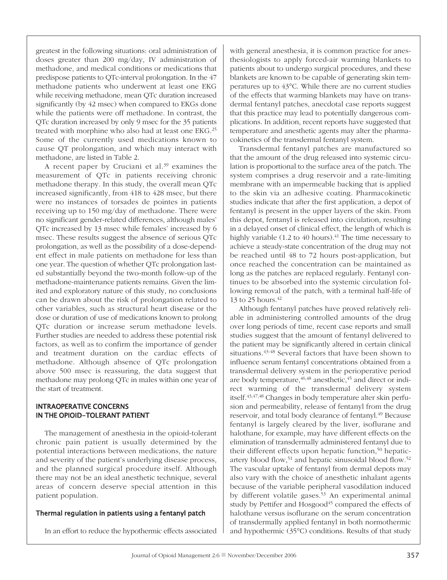greatest in the following situations: oral administration of doses greater than 200 mg/day, IV administration of methadone, and medical conditions or medications that predispose patients to QTc-interval prolongation. In the 47 methadone patients who underwent at least one EKG while receiving methadone, mean QTc duration increased significantly (by 42 msec) when compared to EKGs done while the patients were off methadone. In contrast, the QTc duration increased by only 9 msec for the 35 patients treated with morphine who also had at least one EKG. 25 Some of the currently used medications known to cause QT prolongation, and which may interact with methadone, are listed in Table 2.

A recent paper by Cruciani et al. <sup>39</sup> examines the measurement of QTc in patients receiving chronic methadone therapy. In this study, the overall mean QTc increased significantly, from 418 to 428 msec, but there were no instances of torsades de pointes in patients receiving up to 150 mg/day of methadone. There were no significant gender-related differences, although males' QTc increased by 13 msec while females' increased by 6 msec. These results suggest the absence of serious QTc prolongation, as well as the possibility of a dose-dependent effect in male patients on methadone for less than one year. The question of whether QTc prolongation lasted substantially beyond the two-month follow-up of the methadone-maintenance patients remains. Given the limited and exploratory nature of this study, no conclusions can be drawn about the risk of prolongation related to other variables, such as structural heart disease or the dose or duration of use of medications known to prolong QTc duration or increase serum methadone levels. Further studies are needed to address these potential risk factors, as well as to confirm the importance of gender and treatment duration on the cardiac effects of methadone. Although absence of QTc prolongation above 500 msec is reassuring, the data suggest that methadone may prolong QTc in males within one year of the start of treatment.

# intraoPerative concerns in the oPioid-tolerant Patient

The management of anesthesia in the opioid-tolerant chronic pain patient is usually determined by the potential interactions between medications, the nature and severity of the patient's underlying disease process, and the planned surgical procedure itself. Although there may not be an ideal anesthetic technique, several areas of concern deserve special attention in this patient population.

# Thermal regulation in patients using a fentanyl patch

In an effort to reduce the hypothermic effects associated

with general anesthesia, it is common practice for anesthesiologists to apply forced-air warming blankets to patients about to undergo surgical procedures, and these blankets are known to be capable of generating skin temperatures up to 43°C. While there are no current studies of the effects that warming blankets may have on transdermal fentanyl patches, anecdotal case reports suggest that this practice may lead to potentially dangerous complications. In addition, recent reports have suggested that temperature and anesthetic agents may alter the pharmacokinetics of the transdermal fentanyl system.

Transdermal fentanyl patches are manufactured so that the amount of the drug released into systemic circulation is proportional to the surface area of the patch. The system comprises a drug reservoir and a rate-limiting membrane with an impermeable backing that is applied to the skin via an adhesive coating. Pharmacokinetic studies indicate that after the first application, a depot of fentanyl is present in the upper layers of the skin. From this depot, fentanyl is released into circulation, resulting in a delayed onset of clinical effect, the length of which is highly variable (1.2 to 40 hours). <sup>41</sup> The time necessary to achieve a steady-state concentration of the drug may not be reached until 48 to 72 hours post-application, but once reached the concentration can be maintained as long as the patches are replaced regularly. Fentanyl continues to be absorbed into the systemic circulation following removal of the patch, with a terminal half-life of 13 to 25 hours. 42

Although fentanyl patches have proved relatively reliable in administering controlled amounts of the drug over long periods of time, recent case reports and small studies suggest that the amount of fentanyl delivered to the patient may be significantly altered in certain clinical situations. 43-48 Several factors that have been shown to influence serum fentanyl concentrations obtained from a transdermal delivery system in the perioperative period are body temperature, $^{46,48}$  anesthetic, $^{45}$  and direct or indirect warming of the transdermal delivery system itself. 43,47,48 Changes in body temperature alter skin perfusion and permeability, release of fentanyl from the drug reservoir, and total body clearance of fentanyl. <sup>49</sup> Because fentanyl is largely cleared by the liver, isoflurane and halothane, for example, may have different effects on the elimination of transdermally administered fentanyl due to their different effects upon hepatic function, <sup>50</sup> hepaticartery blood flow,<sup>51</sup> and hepatic sinusoidal blood flow.<sup>52</sup> The vascular uptake of fentanyl from dermal depots may also vary with the choice of anesthetic inhalant agents because of the variable peripheral vasodilation induced by different volatile gases. <sup>53</sup> An experimental animal study by Pettifer and Hosgood<sup>45</sup> compared the effects of halothane versus isoflurane on the serum concentration of transdermally applied fentanyl in both normothermic and hypothermic (35°C) conditions. Results of that study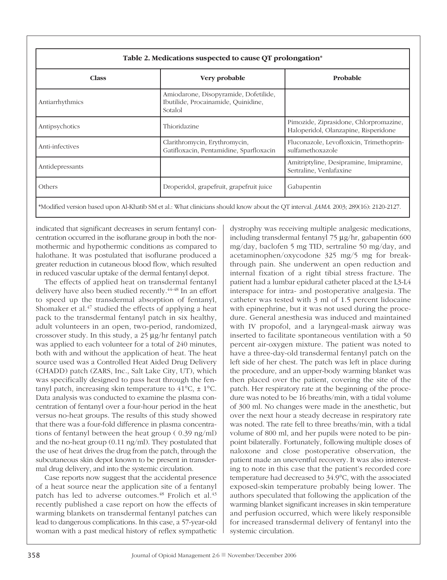| Table 2. Medications suspected to cause QT prolongation* |                                                                                         |                                                                                |  |  |
|----------------------------------------------------------|-----------------------------------------------------------------------------------------|--------------------------------------------------------------------------------|--|--|
| <b>Class</b>                                             | Very probable                                                                           | Probable                                                                       |  |  |
| Antiarrhythmics                                          | Amiodarone, Disopyramide, Dofetilide,<br>Ibutilide, Procainamide, Quinidine,<br>Sotalol |                                                                                |  |  |
| Antipsychotics                                           | Thioridazine                                                                            | Pimozide, Ziprasidone, Chlorpromazine,<br>Haloperidol, Olanzapine, Risperidone |  |  |
| Anti-infectives                                          | Clarithromycin, Erythromycin,<br>Gatifloxacin, Pentamidine, Sparfloxacin                | Fluconazole, Levofloxicin, Trimethoprin-<br>sulfamethoxazole                   |  |  |
| Antidepressants                                          |                                                                                         | Amitriptyline, Desipramine, Imipramine,<br>Sertraline, Venlafaxine             |  |  |
| Others                                                   | Droperidol, grapefruit, grapefruit juice                                                | Gabapentin                                                                     |  |  |
|                                                          |                                                                                         |                                                                                |  |  |

\*Modified version based upon Al-Khatib SM et al.: What clinicians should know about the QT interval. *JAMA*. 2003; 289(16): 2120-2127.

indicated that significant decreases in serum fentanyl concentration occurred in the isoflurane group in both the normothermic and hypothermic conditions as compared to halothane. It was postulated that isoflurane produced a greater reduction in cutaneous blood flow, which resulted in reduced vascular uptake of the dermal fentanyl depot.

The effects of applied heat on transdermal fentanyl delivery have also been studied recently. 44-48 In an effort to speed up the transdermal absorption of fentanyl, Shomaker et al. <sup>47</sup> studied the effects of applying a heat pack to the transdermal fentanyl patch in six healthy, adult volunteers in an open, two-period, randomized, crossover study. In this study, a  $25 \mu g/hr$  fentanyl patch was applied to each volunteer for a total of 240 minutes, both with and without the application of heat. The heat source used was a Controlled Heat Aided Drug Delivery (CHADD) patch (ZARS, Inc., Salt Lake City, UT), which was specifically designed to pass heat through the fentanyl patch, increasing skin temperature to  $41^{\circ}$ C,  $\pm 1^{\circ}$ C. Data analysis was conducted to examine the plasma concentration of fentanyl over a four-hour period in the heat versus no-heat groups. The results of this study showed that there was a four-fold difference in plasma concentrations of fentanyl between the heat group ( 0.39 ng/ml) and the no-heat group (0.11 ng/ml). They postulated that the use of heat drives the drug from the patch, through the subcutaneous skin depot known to be present in transdermal drug delivery, and into the systemic circulation.

Case reports now suggest that the accidental presence of a heat source near the application site of a fentanyl patch has led to adverse outcomes. <sup>48</sup> Frolich et al. 43 recently published a case report on how the effects of warming blankets on transdermal fentanyl patches can lead to dangerous complications. In this case, a 57-year-old woman with a past medical history of reflex sympathetic dystrophy was receiving multiple analgesic medications, including transdermal fentanyl 75  $\mu$ g/hr, gabapentin 600 mg/day, baclofen 5 mg TID, sertraline 50 mg/day, and acetaminophen/oxycodone 325 mg/5 mg for breakthrough pain. She underwent an open reduction and internal fixation of a right tibial stress fracture. The patient had a lumbar epidural catheter placed at the L3-L4 interspace for intra- and postoperative analgesia. The catheter was tested with 3 ml of 1.5 percent lidocaine with epinephrine, but it was not used during the procedure. General anesthesia was induced and maintained with IV propofol, and a laryngeal-mask airway was inserted to facilitate spontaneous ventilation with a 50 percent air-oxygen mixture. The patient was noted to have a three-day-old transdermal fentanyl patch on the left side of her chest. The patch was left in place during the procedure, and an upper-body warming blanket was then placed over the patient, covering the site of the patch. Her respiratory rate at the beginning of the procedure was noted to be 16 breaths/min, with a tidal volume of 300 ml. No changes were made in the anesthetic, but over the next hour a steady decrease in respiratory rate was noted. The rate fell to three breaths/min, with a tidal volume of 800 ml, and her pupils were noted to be pinpoint bilaterally. Fortunately, following multiple doses of naloxone and close postoperative observation, the patient made an uneventful recovery. It was also interesting to note in this case that the patient's recorded core temperature had decreased to 34.9°C, with the associated exposed-skin temperature probably being lower. The authors speculated that following the application of the warming blanket significant increases in skin temperature and perfusion occurred, which were likely responsible for increased transdermal delivery of fentanyl into the systemic circulation.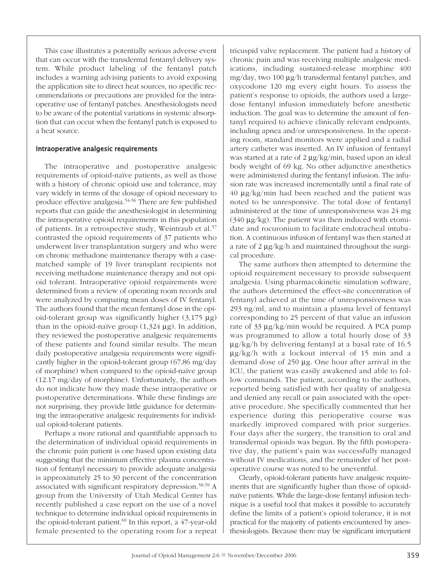This case illustrates a potentially serious adverse event that can occur with the transdermal fentanyl delivery system. While product labeling of the fentanyl patch includes a warning advising patients to avoid exposing the application site to direct heat sources, no specific recommendations or precautions are provided for the intraoperative use of fentanyl patches. Anesthesiologists need to be aware of the potential variations in systemic absorption that can occur when the fentanyl patch is exposed to a heat source.

### intraoperative analgesic requirements

The intraoperative and postoperative analgesic requirements of opioid-naïve patients, as well as those with a history of chronic opioid use and tolerance, may vary widely in terms of the dosage of opioid necessary to produce effective analgesia. 54-56 There are few published reports that can guide the anesthesiologist in determining the intraoperative opioid requirements in this population of patients. In a retrospective study, Weintraub et al. 57 contrasted the opioid requirements of 37 patients who underwent liver transplantation surgery and who were on chronic methadone maintenance therapy with a casematched sample of 19 liver transplant recipients not receiving methadone maintenance therapy and not opioid tolerant. Intraoperative opioid requirements were determined from a review of operating room records and were analyzed by comparing mean doses of IV fentanyl. The authors found that the mean fentanyl dose in the opioid-tolerant group was significantly higher  $(3,175 \mu g)$ than in the opioid-naïve group  $(1,324 \mu g)$ . In addition, they reviewed the postoperative analgesic requirements of these patients and found similar results. The mean daily postoperative analgesia requirements were significantly higher in the opioid-tolerant group (67.86 mg/day of morphine) when compared to the opioid-naïve group (12.17 mg/day of morphine). Unfortunately, the authors do not indicate how they made these intraoperative or postoperative determinations. While these findings are not surprising, they provide little guidance for determining the intraoperative analgesic requirements for individual opioid-tolerant patients.

Perhaps a more rational and quantifiable approach to the determination of individual opioid requirements in the chronic pain patient is one based upon existing data suggesting that the minimum effective plasma concentration of fentanyl necessary to provide adequate analgesia is approximately 25 to 30 percent of the concentration associated with significant respiratory depression. 58,59 A group from the University of Utah Medical Center has recently published a case report on the use of a novel technique to determine individual opioid requirements in the opioid-tolerant patient. <sup>60</sup> In this report, a 47-year-old female presented to the operating room for a repeat tricuspid valve replacement. The patient had a history of chronic pain and was receiving multiple analgesic medications, including sustained-release morphine 400 mg/day, two 100 µg/h transdermal fentanyl patches, and oxycodone 120 mg every eight hours. To assess the patient's response to opioids, the authors used a largedose fentanyl infusion immediately before anesthetic induction. The goal was to determine the amount of fentanyl required to achieve clinically relevant endpoints, including apnea and/or unresponsiveness. In the operating room, standard monitors were applied and a radial artery catheter was inserted. An IV infusion of fentanyl was started at a rate of  $2 \mu g/kg/min$ , based upon an ideal body weight of 69 kg. No other adjunctive anesthetics were administered during the fentanyl infusion. The infusion rate was increased incrementally until a final rate of  $40 \mu g/kg/min$  had been reached and the patient was noted to be unresponsive. The total dose of fentanyl administered at the time of unresponsiveness was 24 mg  $(340 \mu g/kg)$ . The patient was then induced with etomidate and rocuronium to facilitate endotracheal intubation. A continuous infusion of fentanyl was then started at a rate of  $2 \mu g/kg/h$  and maintained throughout the surgical procedure.

The same authors then attempted to determine the opioid requirement necessary to provide subsequent analgesia. Using pharmacokinetic simulation software, the authors determined the effect-site concentration of fentanyl achieved at the time of unresponsiveness was 293 ng/ml, and to maintain a plasma level of fentanyl corresponding to 25 percent of that value an infusion rate of  $33 \mu g/kg/min$  would be required. A PCA pump was programmed to allow a total hourly dose of 33  $\mu$ g/kg/h by delivering fentanyl at a basal rate of 16.5  $\mu$ g/kg/h with a lockout interval of 15 min and a demand dose of 250 µg. One hour after arrival in the ICU, the patient was easily awakened and able to follow commands. The patient, according to the authors, reported being satisfied with her quality of analgesia and denied any recall or pain associated with the operative procedure. She specifically commented that her experience during this perioperative course was markedly improved compared with prior surgeries. Four days after the surgery, the transition to oral and transdermal opioids was begun. By the fifth postoperative day, the patient's pain was successfully managed without IV medications, and the remainder of her postoperative course was noted to be uneventful.

Clearly, opioid-tolerant patients have analgesic requirements that are significantly higher than those of opioidnaïve patients. While the large-dose fentanyl infusion technique is a useful tool that makes it possible to accurately define the limits of a patient's opioid tolerance, it is not practical for the majority of patients encountered by anesthesiologists. Because there may be significant interpatient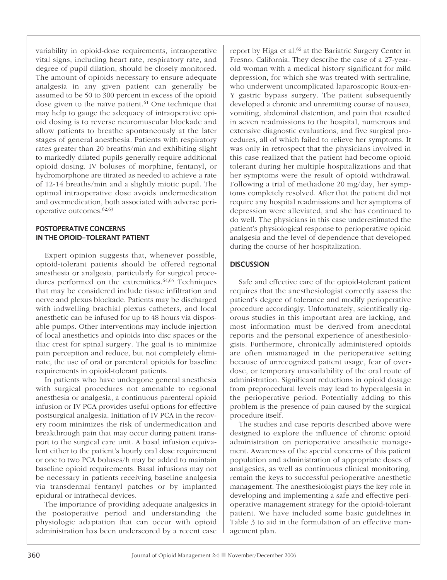variability in opioid-dose requirements, intraoperative vital signs, including heart rate, respiratory rate, and degree of pupil dilation, should be closely monitored. The amount of opioids necessary to ensure adequate analgesia in any given patient can generally be assumed to be 50 to 300 percent in excess of the opioid dose given to the naïve patient. <sup>61</sup> One technique that may help to gauge the adequacy of intraoperative opioid dosing is to reverse neuromuscular blockade and allow patients to breathe spontaneously at the later stages of general anesthesia. Patients with respiratory rates greater than 20 breaths/min and exhibiting slight to markedly dilated pupils generally require additional opioid dosing. IV boluses of morphine, fentanyl, or hydromorphone are titrated as needed to achieve a rate of 12-14 breaths/min and a slightly miotic pupil. The optimal intraoperative dose avoids undermedication and overmedication, both associated with adverse perioperative outcomes. 62,63

# PostoPerative concerns in the oPioid-tolerant Patient

Expert opinion suggests that, whenever possible, opioid-tolerant patients should be offered regional anesthesia or analgesia, particularly for surgical procedures performed on the extremities. 64,65 Techniques that may be considered include tissue infiltration and nerve and plexus blockade. Patients may be discharged with indwelling brachial plexus catheters, and local anesthetic can be infused for up to 48 hours via disposable pumps. Other interventions may include injection of local anesthetics and opioids into disc spaces or the iliac crest for spinal surgery. The goal is to minimize pain perception and reduce, but not completely eliminate, the use of oral or parenteral opioids for baseline requirements in opioid-tolerant patients.

In patients who have undergone general anesthesia with surgical procedures not amenable to regional anesthesia or analgesia, a continuous parenteral opioid infusion or IV PCA provides useful options for effective postsurgical analgesia. Initiation of IV PCA in the recovery room minimizes the risk of undermedication and breakthrough pain that may occur during patient transport to the surgical care unit. A basal infusion equivalent either to the patient's hourly oral dose requirement or one to two PCA boluses/h may be added to maintain baseline opioid requirements. Basal infusions may not be necessary in patients receiving baseline analgesia via transdermal fentanyl patches or by implanted epidural or intrathecal devices.

The importance of providing adequate analgesics in the postoperative period and understanding the physiologic adaptation that can occur with opioid administration has been underscored by a recent case

report by Higa et al.<sup>66</sup> at the Bariatric Surgery Center in Fresno, California. They describe the case of a 27-yearold woman with a medical history significant for mild depression, for which she was treated with sertraline, who underwent uncomplicated laparoscopic Roux-en-Y gastric bypass surgery. The patient subsequently developed a chronic and unremitting course of nausea, vomiting, abdominal distention, and pain that resulted in seven readmissions to the hospital, numerous and extensive diagnostic evaluations, and five surgical procedures, all of which failed to relieve her symptoms. It was only in retrospect that the physicians involved in this case realized that the patient had become opioid tolerant during her multiple hospitalizations and that her symptoms were the result of opioid withdrawal. Following a trial of methadone 20 mg/day, her symptoms completely resolved. After that the patient did not require any hospital readmissions and her symptoms of depression were alleviated, and she has continued to do well. The physicians in this case underestimated the patient's physiological response to perioperative opioid analgesia and the level of dependence that developed during the course of her hospitalization.

# **DISCUSSION**

Safe and effective care of the opioid-tolerant patient requires that the anesthesiologist correctly assess the patient's degree of tolerance and modify perioperative procedure accordingly. Unfortunately, scientifically rigorous studies in this important area are lacking, and most information must be derived from anecdotal reports and the personal experience of anesthesiologists. Furthermore, chronically administered opioids are often mismanaged in the perioperative setting because of unrecognized patient usage, fear of overdose, or temporary unavailability of the oral route of administration. Significant reductions in opioid dosage from preprocedural levels may lead to hyperalgesia in the perioperative period. Potentially adding to this problem is the presence of pain caused by the surgical procedure itself.

The studies and case reports described above were designed to explore the influence of chronic opioid administration on perioperative anesthetic management. Awareness of the special concerns of this patient population and administration of appropriate doses of analgesics, as well as continuous clinical monitoring, remain the keys to successful perioperative anesthetic management. The anesthesiologist plays the key role in developing and implementing a safe and effective perioperative management strategy for the opioid-tolerant patient. We have included some basic guidelines in Table 3 to aid in the formulation of an effective management plan.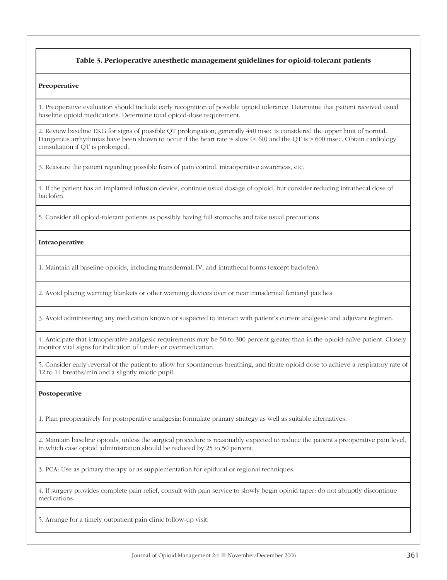## **Table 3. Perioperative anesthetic management guidelines for opioid-tolerant patients**

#### **Preoperative**

1. Preoperative evaluation should include early recognition of possible opioid tolerance. Determine that patient received usual baseline opioid medications. Determine total opioid-dose requirement.

2. Review baseline EKG for signs of possible QT prolongation; generally 440 msec is considered the upper limit of normal. Dangerous arrhythmias have been shown to occur if the heart rate is slow (< 60) and the QT is > 600 msec. Obtain cardiology consultation if QT is prolonged.

3. Reassure the patient regarding possible fears of pain control, intraoperative awareness, etc.

4. If the patient has an implanted infusion device, continue usual dosage of opioid, but consider reducing intrathecal dose of baclofen.

5. Consider all opioid-tolerant patients as possibly having full stomachs and take usual precautions.

## **Intraoperative**

1. Maintain all baseline opioids, including transdermal, IV, and intrathecal forms (except baclofen).

2. Avoid placing warming blankets or other warming devices over or near transdermal fentanyl patches.

3. Avoid administering any medication known or suspected to interact with patient's current analgesic and adjuvant regimen.

4. Anticipate that intraoperative analgesic requirements may be 50 to 300 percent greater than in the opioid-naïve patient. Closely monitor vital signs for indication of under- or overmedication.

5. Consider early reversal of the patient to allow for spontaneous breathing, and titrate opioid dose to achieve a respiratory rate of 12 to 14 breaths/min and a slightly miotic pupil.

#### **Postoperative**

1. Plan preoperatively for postoperative analgesia; formulate primary strategy as well as suitable alternatives.

2. Maintain baseline opioids, unless the surgical procedure is reasonably expected to reduce the patient's preoperative pain level, in which case opioid administration should be reduced by 25 to 50 percent.

3. PCA: Use as primary therapy or as supplementation for epidural or regional techniques.

4. If surgery provides complete pain relief, consult with pain service to slowly begin opioid taper; do not abruptly discontinue medications.

5. Arrange for a timely outpatient pain clinic follow-up visit.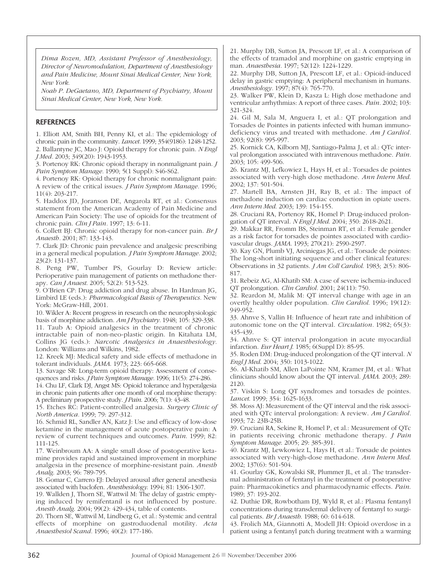*Dima Rozen, MD, Assistant Professor of Anesthesiology, Director of Neuromodulation, Department of Anesthesiology and Pain Medicine, Mount Sinai Medical Center, New York, New York.*

*Noah P. DeGaetano, MD, Department of Psychiatry, Mount Sinai Medical Center, New York, New York.*

## **REFERENCES**

1. Elliott AM, Smith BH, Penny KI, et al.: The epidemiology of chronic pain in the community. *Lancet.* 1999; 354(9186): 1248-1252. 2. Ballantyne JC, Mao J: Opioid therapy for chronic pain. *N Engl J Med.* 2003; 349(20): 1943-1953.

3. Portenoy RK: Chronic opioid therapy in nonmalignant pain. *J Pain Symptom Manage.* 1990; 5(1 Suppl): S46-S62.

4. Portenoy RK: Opioid therapy for chronic nonmalignant pain: A review of the critical issues. *J Pain Symptom Manage.* 1996; 11(4): 203-217.

5. Haddox JD, Joranson DE, Angarola RT, et al.: Consensus statement from the American Academy of Pain Medicine and American Pain Society: The use of opioids for the treatment of chronic pain. *Clin J Pain.* 1997; 13: 6-11.

6. Collett BJ: Chronic opioid therapy for non-cancer pain. *Br J Anaesth.* 2001; 87: 133-143.

7. Clark JD: Chronic pain prevalence and analgesic prescribing in a general medical population. *J Pain Symptom Manage.* 2002; 23(2): 131-137.

8. Peng PW, Tumber PS, Gourlay D: Review article: Perioperative pain management of patients on methadone therapy. *Can J Anaest*. 2005; 52(2): 513-523.

9. O'Brien CP: Drug addiction and drug abuse. In Hardman JG, Limbird LE (eds.): *Pharmacological Basis of Therapeutics.* New York: McGraw-Hill, 2001.

10. Wikler A: Recent progress in research on the neurophysiologic basis of morphine addiction. *Am J Psychiatry.* 1948; 105: 329-338.

11. Taub A: Opioid analgesics in the treatment of chronic intractable pain of non-neo-plastic origin. In Kitahata LM, Collins JG (eds.): *Narcotic Analgesics in Anaesthesiology.* London: Williams and Wilkins, 1982.

12. Kreek MJ: Medical safety and side effects of methadone in tolerant individuals. *JAMA*. 1973; 223: 665-668.

13. Savage SR: Long-term opioid therapy: Assessment of consequences and risks. *J Pain Symptom Manage.* 1996; 11(5): 274-286.

14. Chu LF, Clark DJ, Angst MS: Opioid tolerance and hyperalgesia in chronic pain patients after one month of oral morphine therapy: A preliminary prospective study. *J Pain*. 2006; 7(1): 43-48.

15. Etches RC: Patient-controlled analgesia. *Surgery Clinic of North America.* 1999; 79: 297-312.

16. Schmid RL, Sandler AN, Katz J: Use and efficacy of low-dose ketamine in the management of acute postoperative pain: A review of current techniques and outcomes. *Pain*. 1999; 82: 111-125.

17. Weinbroum AA: A single small dose of postoperative ketamine provides rapid and sustained improvement in morphine analgesia in the presence of morphine-resistant pain. *Anesth Analg*. 2003; 96: 789-795.

18. Gomar C, Carrero EJ: Delayed arousal after general anesthesia associated with baclofen. *Anesthesiology*. 1994; 81: 1306-1307.

19. Wallden J, Thorn SE, Wattwil M: The delay of gastric emptying induced by remifentanil is not influenced by posture. *Anesth Analg*. 2004; 99(2): 429-434, table of contents.

20. Thorn SE, Wattwil M, Lindberg G, et al.: Systemic and central effects of morphine on gastroduodenal motility. *Acta Anaesthesiol Scand.* 1996; 40(2): 177-186.

21. Murphy DB, Sutton JA, Prescott LF, et al.: A comparison of the effects of tramadol and morphine on gastric emptying in man. *Anaesthesia.* 1997; 52(12): 1224-1229.

22. Murphy DB, Sutton JA, Prescott LF, et al.: Opioid-induced delay in gastric emptying: A peripheral mechanism in humans. *Anesthesiology.* 1997; 87(4): 765-770.

23. Walker PW, Klein D, Kasza L: High dose methadone and ventricular arrhythmias: A report of three cases. *Pain.* 2002; 103: 321-324.

24. Gil M, Sala M, Anguera I, et al.: QT prolongation and Torsades de Pointes in patients infected with human immunodeficiency virus and treated with methadone. *Am J Cardiol.* 2003; 92(8): 995-997.

25. Kornick CA, Kilborn MJ, Santiago-Palma J, et al.: QTc interval prolongation associated with intravenous methadone. *Pain.* 2003; 105: 499-506.

26. Krantz MJ, Lefkowiez L, Hays H, et al.: Torsades de pointes associated with very-high dose methadone. *Ann Intern Med*. 2002; 137: 501-504.

27. Martell BA, Arnsten JH, Ray B, et al.: The impact of methadone induction on cardiac conduction in opiate users. *Ann Intern Med*. 2003; 139: 154-155.

28. Cruciani RA, Portenoy RK, Homel P: Drug-induced prolongation of QT interval. *N Engl J Med*. 2004; 350: 2618-2621.

29. Makkar RR, Fromm BS, Steinman RT, et al.: Female gender as a risk factor for torsades de pointes associated with cardiovascular drugs. *JAMA*. 1993; 270(21): 2590-2597.

30. Kay GN, Plumb VJ, Arciniegas JG, et al.: Torsade de pointes: The long-short initiating sequence and other clinical features: Observations in 32 patients. *J Am Coll Cardiol*. 1983; 2(5): 806- 817.

31. Rebeiz AG, Al-Khatib SM: A case of severe ischemia-induced QT prolongation. *Clin Cardiol.* 2001; 24(11): 750.

32. Reardon M, Malik M: QT interval change with age in an overtly healthy older population. *Clin Cardiol*. 1996; 19(12): 949-952.

33. Ahnve S, Vallin H: Influence of heart rate and inhibition of autonomic tone on the QT interval. *Circulation.* 1982; 65(3): 435-439.

34. Ahnve S: QT interval prolongation in acute myocardial infarction. *Eur Heart J*. 1985; 6(Suppl D): 85-95.

35. Roden DM: Drug-induced prolongation of the QT interval. *N Engl J Med*. 2004; 350: 1013-1022.

36. Al-Khatib SM, Allen LaPointe NM, Kramer JM, et al.: What clinicians should know about the QT interval. *JAMA*. 2003; 289: 2120.

37. Viskin S: Long QT syndromes and torsades de pointes. *Lancet*. 1999; 354: 1625-1633.

38. Moss AJ: Measurement of the QT interval and the risk associated with QTc interval prolongation: A review. *Am J Cardiol.* 1993; 72: 23B-25B.

39. Cruciani RA, Sekine R, Homel P, et al.: Measurement of QTc in patients receiving chronic methadone therapy. *J Pain Symptom Manage*. 2005; 29: 385-391.

40. Krantz MJ, Lewkowiez L, Hays H, et al.: Torsade de pointes associated with very-high-dose methadone. *Ann Intern Med*. 2002; 137(6): 501-504.

41. Gourlay GK, Kowalski SR, Plummer JL, et al.: The transdermal administration of fentanyl in the treatment of postoperative pain: Pharmacokinetics and pharmacodynamic effects. *Pain*. 1989; 37: 193-202.

42. Duthie DR, Rowbotham DJ, Wyld R, et al.: Plasma fentanyl concentrations during transdermal delivery of fentanyl to surgical patients. *Br J Anaesth*. 1988; 60: 614-618.

43. Frolich MA, Giannotti A, Modell JH: Opioid overdose in a patient using a fentanyl patch during treatment with a warming